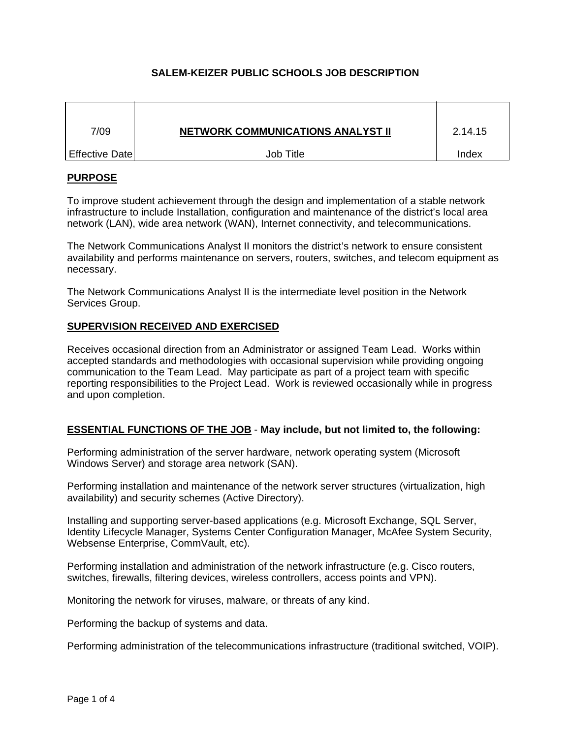# **SALEM-KEIZER PUBLIC SCHOOLS JOB DESCRIPTION**

| 7/09           | <b>NETWORK COMMUNICATIONS ANALYST II</b> | 2.14.15 |
|----------------|------------------------------------------|---------|
| Effective Date | Job Title                                | Index   |

## **PURPOSE**

To improve student achievement through the design and implementation of a stable network infrastructure to include Installation, configuration and maintenance of the district's local area network (LAN), wide area network (WAN), Internet connectivity, and telecommunications.

The Network Communications Analyst II monitors the district's network to ensure consistent availability and performs maintenance on servers, routers, switches, and telecom equipment as necessary.

The Network Communications Analyst II is the intermediate level position in the Network Services Group.

## **SUPERVISION RECEIVED AND EXERCISED**

Receives occasional direction from an Administrator or assigned Team Lead. Works within accepted standards and methodologies with occasional supervision while providing ongoing communication to the Team Lead. May participate as part of a project team with specific reporting responsibilities to the Project Lead. Work is reviewed occasionally while in progress and upon completion.

## **ESSENTIAL FUNCTIONS OF THE JOB** - **May include, but not limited to, the following:**

Performing administration of the server hardware, network operating system (Microsoft Windows Server) and storage area network (SAN).

Performing installation and maintenance of the network server structures (virtualization, high availability) and security schemes (Active Directory).

Installing and supporting server-based applications (e.g. Microsoft Exchange, SQL Server, Identity Lifecycle Manager, Systems Center Configuration Manager, McAfee System Security, Websense Enterprise, CommVault, etc).

Performing installation and administration of the network infrastructure (e.g. Cisco routers, switches, firewalls, filtering devices, wireless controllers, access points and VPN).

Monitoring the network for viruses, malware, or threats of any kind.

Performing the backup of systems and data.

Performing administration of the telecommunications infrastructure (traditional switched, VOIP).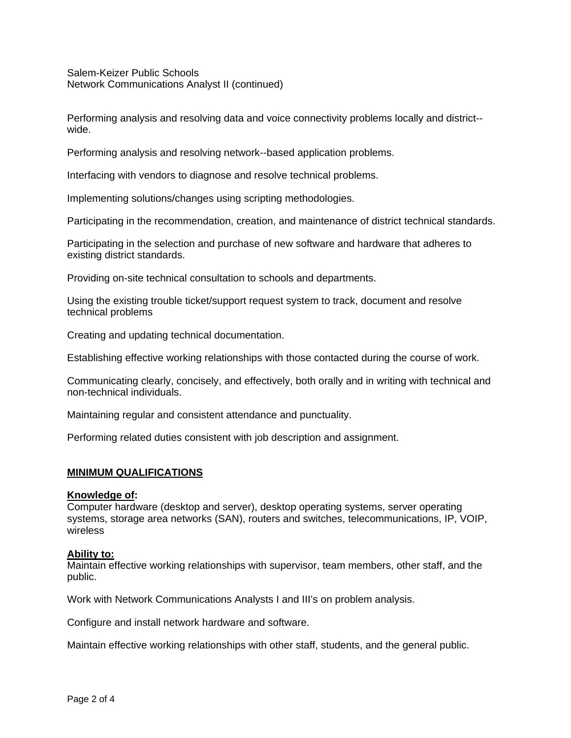Salem-Keizer Public Schools Network Communications Analyst II (continued)

Performing analysis and resolving data and voice connectivity problems locally and district- wide.

Performing analysis and resolving network--based application problems.

Interfacing with vendors to diagnose and resolve technical problems.

Implementing solutions/changes using scripting methodologies.

Participating in the recommendation, creation, and maintenance of district technical standards.

Participating in the selection and purchase of new software and hardware that adheres to existing district standards.

Providing on-site technical consultation to schools and departments.

Using the existing trouble ticket/support request system to track, document and resolve technical problems

Creating and updating technical documentation.

Establishing effective working relationships with those contacted during the course of work.

Communicating clearly, concisely, and effectively, both orally and in writing with technical and non-technical individuals.

Maintaining regular and consistent attendance and punctuality.

Performing related duties consistent with job description and assignment.

## **MINIMUM QUALIFICATIONS**

#### **Knowledge of:**

Computer hardware (desktop and server), desktop operating systems, server operating systems, storage area networks (SAN), routers and switches, telecommunications, IP, VOIP, wireless

## **Ability to:**

Maintain effective working relationships with supervisor, team members, other staff, and the public.

Work with Network Communications Analysts I and III's on problem analysis.

Configure and install network hardware and software.

Maintain effective working relationships with other staff, students, and the general public.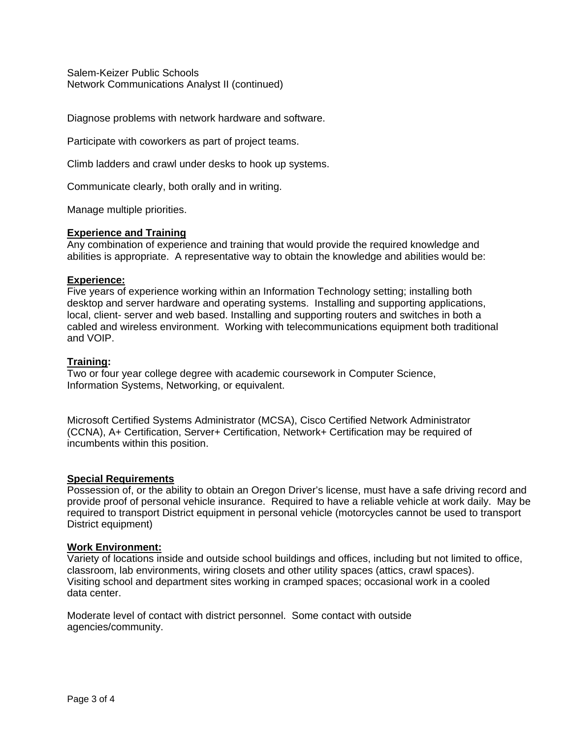Salem-Keizer Public Schools Network Communications Analyst II (continued)

Diagnose problems with network hardware and software.

Participate with coworkers as part of project teams.

Climb ladders and crawl under desks to hook up systems.

Communicate clearly, both orally and in writing.

Manage multiple priorities.

#### **Experience and Training**

Any combination of experience and training that would provide the required knowledge and abilities is appropriate. A representative way to obtain the knowledge and abilities would be:

#### **Experience:**

Five years of experience working within an Information Technology setting; installing both desktop and server hardware and operating systems. Installing and supporting applications, local, client- server and web based. Installing and supporting routers and switches in both a cabled and wireless environment. Working with telecommunications equipment both traditional and VOIP.

## **Training:**

Two or four year college degree with academic coursework in Computer Science, Information Systems, Networking, or equivalent.

Microsoft Certified Systems Administrator (MCSA), Cisco Certified Network Administrator (CCNA), A+ Certification, Server+ Certification, Network+ Certification may be required of incumbents within this position.

#### **Special Requirements**

Possession of, or the ability to obtain an Oregon Driver's license, must have a safe driving record and provide proof of personal vehicle insurance. Required to have a reliable vehicle at work daily. May be required to transport District equipment in personal vehicle (motorcycles cannot be used to transport District equipment)

#### **Work Environment:**

Variety of locations inside and outside school buildings and offices, including but not limited to office, classroom, lab environments, wiring closets and other utility spaces (attics, crawl spaces). Visiting school and department sites working in cramped spaces; occasional work in a cooled data center.

Moderate level of contact with district personnel. Some contact with outside agencies/community.